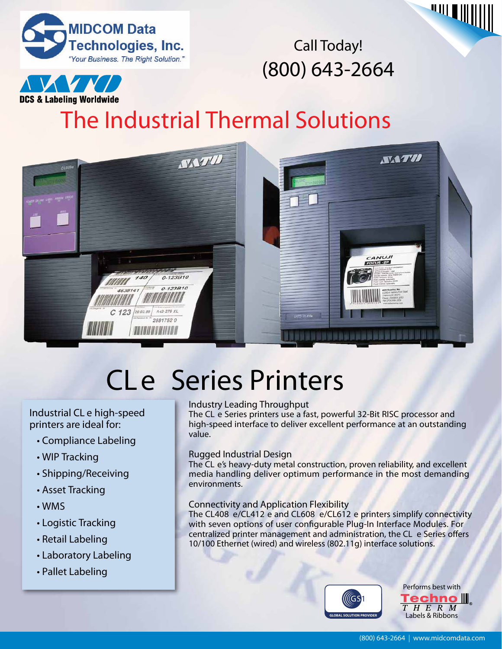



Call Today! (800) 643-2664

# **DCS & Labeling Worldwide**

**The Industrial Thermal Solutions**



# CL*e* Series Printers

## Industrial CL *e* high-speed printers are ideal for:

- **Compliance Labeling**
- **WIP Tracking**
- **Shipping/Receiving**
- **Asset Tracking**
- **WMS**
- **Logistic Tracking**
- **Retail Labeling**
- **Laboratory Labeling**
- **Pallet Labeling**

## **Industry Leading Throughput**

The CL *e* Series printers use a fast, powerful 32-Bit RISC processor and high-speed interface to deliver excellent performance at an outstanding value.

## **Rugged Industrial Design**

The CL e's heavy-duty metal construction, proven reliability, and excellent media handling deliver optimum performance in the most demanding environments.

## **Connectivity and Application Flexibility**

The CL408 *e*/CL412 *e* and CL608 *e*/CL612 *e* printers simplify connectivity with seven options of user configurable Plug-In Interface Modules. For centralized printer management and administration, the CL e Series offers 10/100 Ethernet (wired) and wireless (802.11g) interface solutions.



**Performs best with Techno III**. THERM **Labels & Ribbons**